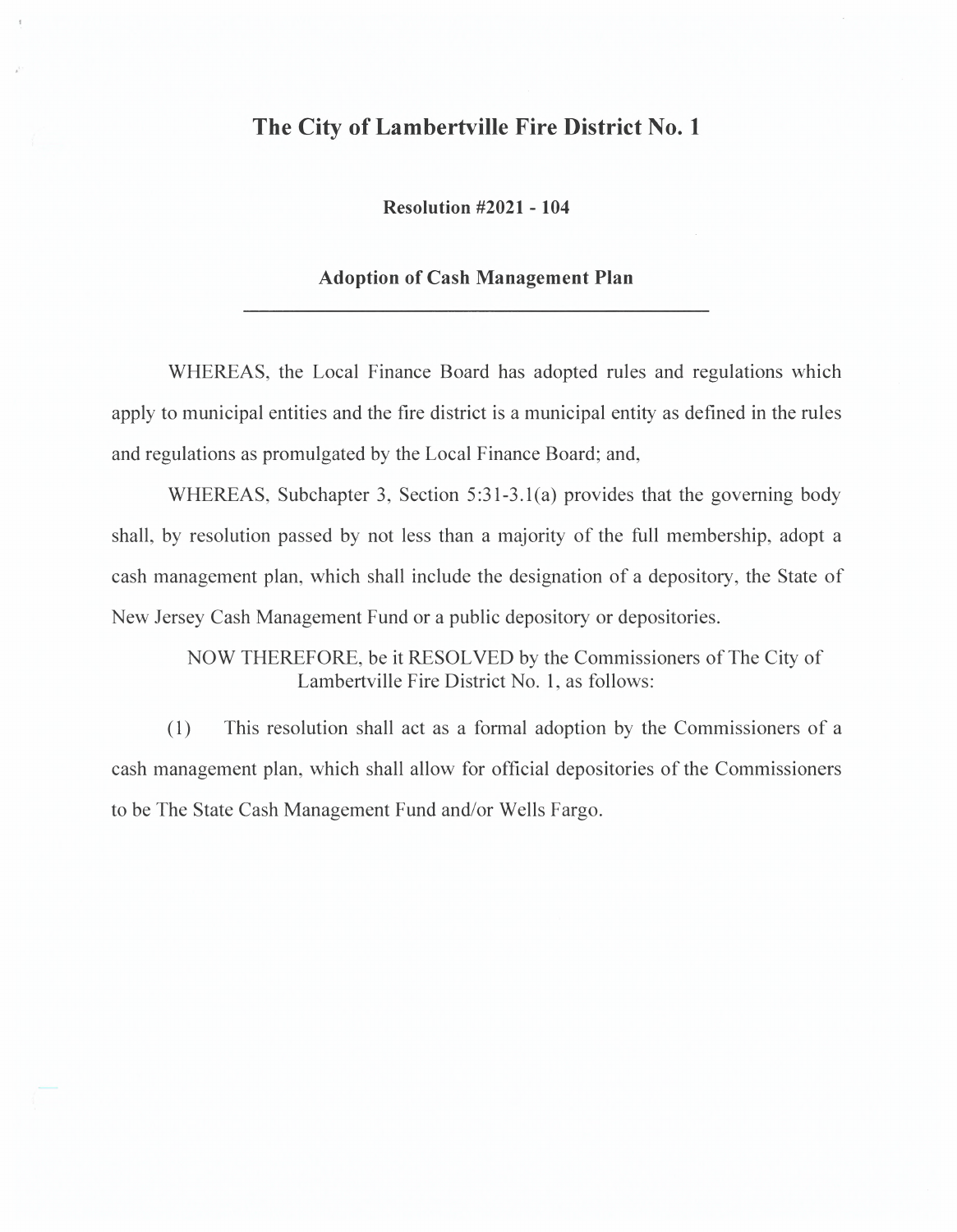## **The City of Lambertville Fire District No. 1**

**Resolution #2021 - 104** 

## **Adoption of Cash Management Plan**

WHEREAS, the Local Finance Board has adopted rules and regulations which apply to municipal entities and the fire district is a municipal entity as defined in the rules and regulations as promulgated by the Local Finance Board; and,

WHEREAS, Subchapter 3, Section 5:31-3.1(a) provides that the governing body shall, by resolution passed by not less than a majority of the full membership, adopt a cash management plan, which shall include the designation of a depository, the State of New Jersey Cash Management Fund or a public depository or depositories.

> NOW THEREFORE, be it RESOLVED by the Commissioners of The City of Lambertville Fire District No. 1, as follows:

(1) This resolution shall act as a formal adoption by the Commissioners of a cash management plan, which shall allow for official depositories of the Commissioners to be The State Cash Management Fund and/or Wells Fargo.